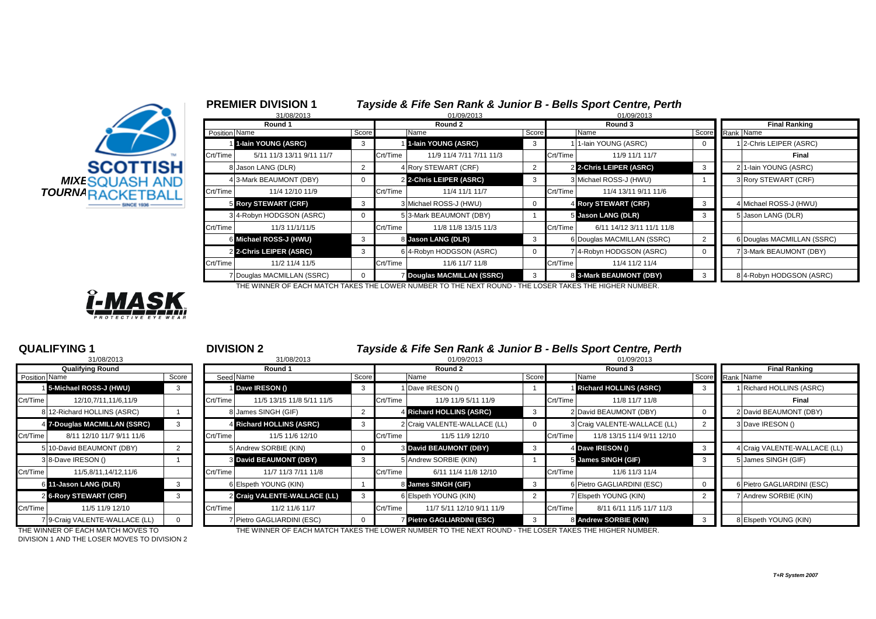| <b>MIXESQUASH AND</b><br><i>TOURNARACKETBALL</i> | <b>SCOTTISH</b> |  |
|--------------------------------------------------|-----------------|--|

|                       | Round 1         |                            |       | Round 2  |                            |       |          | Round 3                    |  |  | <b>Final Ranking</b>       |  |  |
|-----------------------|-----------------|----------------------------|-------|----------|----------------------------|-------|----------|----------------------------|--|--|----------------------------|--|--|
|                       | Position Name   |                            | Score |          | Name                       | Score |          | Name                       |  |  | Score Rank Name            |  |  |
|                       |                 | 1 1-lain YOUNG (ASRC)      | 3     |          | 1-lain YOUNG (ASRC)        | 3     |          | 1-lain YOUNG (ASRC)        |  |  | 2-Chris LEIPER (ASRC)      |  |  |
|                       | <b>Crt/Time</b> | 5/11 11/3 13/11 9/11 11/7  |       | Crt/Time | 11/9 11/4 7/11 7/11 11/3   |       | Crt/Time | 11/9 11/1 11/7             |  |  | Final                      |  |  |
| <b>SCOTTISH</b>       |                 | 8 Jason LANG (DLR)         |       |          | 4 Rory STEWART (CRF)       |       |          | 2 2-Chris LEIPER (ASRC)    |  |  | 2 1-Iain YOUNG (ASRC)      |  |  |
| <b>MIXESQUASH AND</b> |                 | 4 3-Mark BEAUMONT (DBY)    |       |          | 2 2-Chris LEIPER (ASRC)    | -3    |          | 3 Michael ROSS-J (HWU)     |  |  | 3 Rory STEWART (CRF)       |  |  |
| TOURNARACKETBALL      | Crt/Time        | 11/4 12/10 11/9            |       | Crt/Time | 11/4 11/1 11/7             |       | Crt/Time | 11/4 13/11 9/11 11/6       |  |  |                            |  |  |
|                       |                 | 5 Rory STEWART (CRF)       |       |          | 3 Michael ROSS-J (HWU)     |       |          | 4 Rory STEWART (CRF)       |  |  | 4 Michael ROSS-J (HWU)     |  |  |
|                       |                 | 34-Robyn HODGSON (ASRC)    |       |          | 5 3-Mark BEAUMONT (DBY)    |       |          | 5 Jason LANG (DLR)         |  |  | 5 Jason LANG (DLR)         |  |  |
|                       | Crt/Time        | 11/3 11/1/11/5             |       | Crt/Time | 11/8 11/8 13/15 11/3       |       | Crt/Time | 6/11 14/12 3/11 11/1 11/8  |  |  |                            |  |  |
|                       |                 | 6 Michael ROSS-J (HWU)     | 3     |          | 8 Jason LANG (DLR)         | 3     |          | 6 Douglas MACMILLAN (SSRC) |  |  | 6 Douglas MACMILLAN (SSRC) |  |  |
|                       |                 | 2 2-Chris LEIPER (ASRC)    | 3     |          | 6 4-Robyn HODGSON (ASRC)   |       |          | 74-Robyn HODGSON (ASRC)    |  |  | 73-Mark BEAUMONT (DBY)     |  |  |
|                       | Crt/Time        | 11/2 11/4 11/5             |       | Crt/Time | 11/6 11/7 11/8             |       | Crt/Time | 11/4 11/2 11/4             |  |  |                            |  |  |
|                       |                 | 7 Douglas MACMILLAN (SSRC) |       |          | 7 Douglas MACMILLAN (SSRC) | -3    |          | 8 3-Mark BEAUMONT (DBY)    |  |  | 8 4-Robyn HODGSON (ASRC)   |  |  |

THE WINNER OF EACH MATCH TAKES THE LOWER NUMBER TO THE NEXT ROUND - THE LOSER TAKES THE HIGHER NUMBER.



|                | 31/08/2013                   |       |
|----------------|------------------------------|-------|
|                | <b>Qualifying Round</b>      |       |
| Position Name  |                              | Score |
| 1              | 5-Michael ROSS-J (HWU)       | 3     |
| Crt/Time       | 12/10,7/11,11/6,11/9         |       |
| 8              | 12-Richard HOLLINS (ASRC)    | 1     |
| 4              | 7-Douglas MACMILLAN (SSRC)   | 3     |
| Crt/Time       | 8/11 12/10 11/7 9/11 11/6    |       |
| 5              | 10-David BEAUMONT (DBY)      | 2     |
| 3              | 8-Dave IRESON ()             | 1     |
| Crt/Time       | 11/5,8/11,14/12,11/6         |       |
| 61             | 11-Jason LANG (DLR)          | 3     |
| $\overline{2}$ | <b>6-Rory STEWART (CRF)</b>  | 3     |
| Crt/Time       | 11/5 11/9 12/10              |       |
| 7              | 9-Craig VALENTE-WALLACE (LL) | ŋ     |

**QUALIFYING 1** <sup>1</sup> **DIVISION 2** *Tayside & Fife Sen Rank & Junior B - Bells Sport Centre, Perth*

|               | 31/08/2013                     |          | 31/08/2013 |                               |       |          | 01/09/2013                      |       |          | 01/09/2013                   |                 |  |                              |  |
|---------------|--------------------------------|----------|------------|-------------------------------|-------|----------|---------------------------------|-------|----------|------------------------------|-----------------|--|------------------------------|--|
|               | <b>Qualifying Round</b>        |          | Round 1    |                               |       |          | Round 2                         |       |          | Round 3                      |                 |  | <b>Final Ranking</b>         |  |
| Position Name |                                | Score    |            | Seed Name                     | Score |          | Name                            | Score |          | Name                         | Score Rank Name |  |                              |  |
|               | 5-Michael ROSS-J (HWU)         | 3        |            | Dave IRESON ()                | -3    |          | Dave IRESON ()                  |       |          | Richard HOLLINS (ASRC)       |                 |  | 1 Richard HOLLINS (ASRC)     |  |
| Crt/Time      | 12/10,7/11,11/6,11/9           |          | Crt/Time   | 11/5 13/15 11/8 5/11 11/5     |       | Crt/Time | 11/9 11/9 5/11 11/9             |       | Crt/Time | 11/8 11/7 11/8               |                 |  | Final                        |  |
|               | 8 12-Richard HOLLINS (ASRC)    |          |            | 8 James SINGH (GIF)           |       |          | Richard HOLLINS (ASRC)          |       |          | 2 David BEAUMONT (DBY)       |                 |  | 2 David BEAUMONT (DBY)       |  |
|               | 4 7-Douglas MACMILLAN (SSRC)   |          |            | 4 Richard HOLLINS (ASRC)      |       |          | 2 Craig VALENTE-WALLACE (LL)    |       |          | 3 Craig VALENTE-WALLACE (LL) |                 |  | 3 Dave IRESON ()             |  |
| Crt/Time      | 8/11 12/10 11/7 9/11 11/6      |          | Crt/Time   | 11/5 11/6 12/10               |       | Crt/Time | 11/5 11/9 12/10                 |       | Crt/Time | 11/8 13/15 11/4 9/11 12/10   |                 |  |                              |  |
|               | 5 10-David BEAUMONT (DBY)      |          |            | 5 Andrew SORBIE (KIN)         |       |          | 3 David BEAUMONT (DBY)          |       |          | 4 Dave IRESON ()             |                 |  | 4 Craig VALENTE-WALLACE (LL) |  |
|               | 3 8-Dave IRESON ()             |          |            | <b>3 David BEAUMONT (DBY)</b> |       |          | 5 Andrew SORBIE (KIN)           |       |          | 5 James SINGH (GIF)          |                 |  | 5 James SINGH (GIF)          |  |
| Crt/Time      | 11/5,8/11,14/12,11/6           |          | Crt/Time   | 11/7 11/3 7/11 11/8           |       | Crt/Time | 6/11 11/4 11/8 12/10            |       | Crt/Time | 11/6 11/3 11/4               |                 |  |                              |  |
|               | 6 11-Jason LANG (DLR)          |          |            | 6 Elspeth YOUNG (KIN)         |       |          | 8 James SINGH (GIF)             |       |          | 6 Pietro GAGLIARDINI (ESC)   |                 |  | 6 Pietro GAGLIARDINI (ESC)   |  |
|               | 2 6-Rory STEWART (CRF)         |          |            | 2 Craig VALENTE-WALLACE (LL)  |       |          | 6 Elspeth YOUNG (KIN)           |       |          | 7 Elspeth YOUNG (KIN)        |                 |  | 7 Andrew SORBIE (KIN)        |  |
| Crt/Time      | 11/5 11/9 12/10                |          | Crt/Time   | 11/2 11/6 11/7                |       | Crt/Time | 11/7 5/11 12/10 9/11 11/9       |       | Crt/Time | 8/11 6/11 11/5 11/7 11/3     |                 |  |                              |  |
|               | 7 9-Craig VALENTE-WALLACE (LL) | $\Omega$ |            | 7 Pietro GAGLIARDINI (ESC)    |       |          | <b>Pietro GAGLIARDINI (ESC)</b> |       |          | 8 Andrew SORBIE (KIN)        |                 |  | 8 Elspeth YOUNG (KIN)        |  |

DIVISION 1 AND THE LOSER MOVES TO DIVISION 2

THE WINNER OF EACH MATCH MOVES TO THE WINNER OF EACH MATCH TAKES THE LOWER NUMBER TO THE NEXT ROUND - THE LOSER TAKES THE HIGHER NUMBER.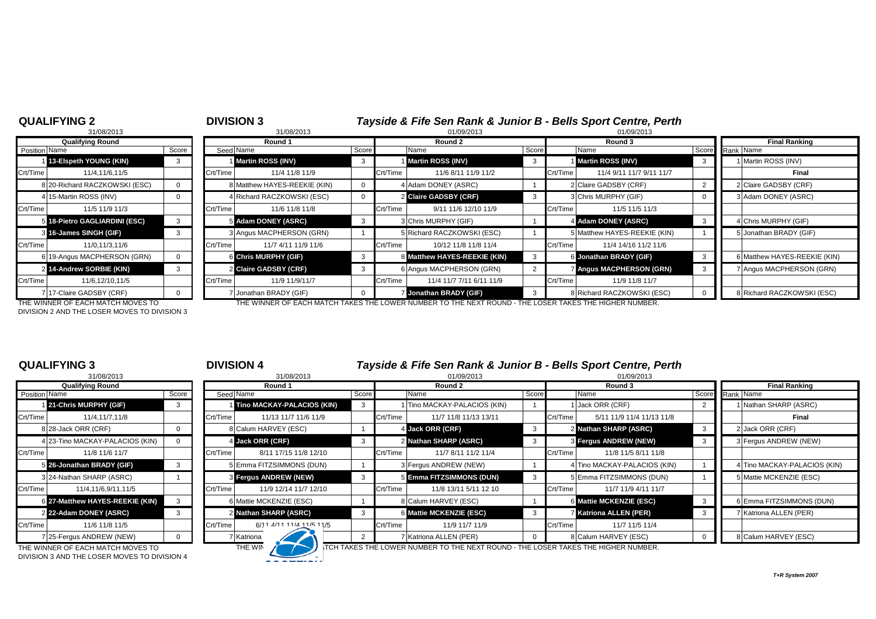|                | <b>Qualifying Round</b>     |       |
|----------------|-----------------------------|-------|
| Position Name  |                             | Score |
| 1              | 13-Elspeth YOUNG (KIN)      | з     |
| Crt/Time       | 11/4.11/6.11/5              |       |
| 8              | 20-Richard RACZKOWSKI (ESC) | O     |
| 4              | 15-Martin ROSS (INV)        | n     |
| Crt/Time       | 11/5 11/9 11/3              |       |
| 5              | 18-Pietro GAGLIARDINI (ESC) | 3     |
| 3              | 16-James SINGH (GIF)        | 3     |
| Crt/Time       | 11/0,11/3,11/6              |       |
| 61             | 19-Angus MACPHERSON (GRN)   | n     |
| $\overline{2}$ | 14-Andrew SORBIE (KIN)      | 3     |
| Crt/Time       | 11/6,12/10,11/5             |       |
|                | 7 17-Claire GADSBY (CRF)    |       |

### **QUALIFYING 2** <sup>2</sup> **DIVISION 3** *Tayside & Fife Sen Rank & Junior B - Bells Sport Centre, Perth* 31/08/2013 8 31/08/2013 01/09/2013 01/09/2013 **Qualifying Round Round 1 Round 2 Round 3 Final Ranking** Position Name Score Score Seed Name Seed Name Score Name Score Score Name Score Name Score Score Rank Name 1 **13-Elspeth YOUNG (KIN)** 3 1 **Martin ROSS (INV)** 3 1 **Martin ROSS (INV)** 3 1 **Martin ROSS (INV)** 3 1 Martin ROSS (INV) Crt/Time 11/4,11/6,11/5 Crt/Time 11/4 11/8 11/9 Crt/Time 11/6 8/11 11/9 11/2 Crt/Time 11/4 9/11 11/7 9/11 11/7 **Final** 8 Matthew HAYES-REEKIE (KIN) 0 4 Adam DONEY (ASRC) 1 2 Claire GADSBY (CRF) 2 2 Claire GADSBY (CRF) 4 Richard RACZKOWSKI (ESC) 0 2 **Claire GADSBY (CRF)** 3 3 3 Chris MURPHY (GIF) 0 3 Adam DONEY (ASRC) Crt/Time 11/5 11/9 11/3 Crt/Time 11/6 11/8 11/8 Crt/Time 9/11 11/6 12/10 11/9 Crt/Time 11/5 11/5 11/3 5 **Adam DONEY (ASRC)** 3 3 3 3 3 3 3 3 3 3 3 3 3 4 **4 Adam DONEY (ASRC)** 3 4 Chris MURPHY (GIF) 3 Angus MACPHERSON (GRN) 1 5 Richard RACZKOWSKI (ESC) 1 5 Matthew HAYES-REEKIE (KIN) 1 5 JJonathan BRADY (GIF) Crt/Time | 11/0,11/3,11/6 | Crt/Time | 11/7 4/11 11/9 11/6 | Crt/Time | 10/12 11/8 11/8 11/4 | Crt/Time | 11/4 14/16 11/2 11/6 6 Chris MURPHY (GIF) 3 8 8 Matthew HAYES-REEKIE (KIN) 3 6 30 nathan BRADY (GIF) 3 8 6 Matthew HAYES-REEKIE (KIN) 2 **Claire GADSBY (CRF)** 3 6 **Angus MACPHERSON (GRN)** 2 7 **Angus MACPHERSON (GRN)** 3 7 Angus MACPHERSON (GRN) Crt/Time | 11/6,12/10,11/5 | Crt/Time | 11/9 11/9/11/7 | Crt/Time | 11/4 11/7 7/11 6/11 11/9 | Crt/Time | 11/9 11/8 11/7 7 Jonathan BRADY (GIF) 0 7 Jonathan BRADY (GIF) 3 8 Richard RACZKOWSKI (ESC) 0 8 Richard RACZKOWSKI (ESC)

DIVISION 2 AND THE LOSER MOVES TO DIVISION 3

THE WINNER OF EACH MATCH MOVES TO THE WINNER OF EACH MATCH TAKES THE LOWER NUMBER TO THE NEXT ROUND - THE LOSER TAKES THE HIGHER NUMBER.

# **QUALIFYING 3** <sup>3</sup> **DIVISION 4** *Tayside & Fife Sen Rank & Junior B - Bells Sport Centre, Perth*

|               | 31/08/2013                      |       |
|---------------|---------------------------------|-------|
|               | <b>Qualifying Round</b>         |       |
| Position Name |                                 | Score |
|               | 1 21-Chris MURPHY (GIF)         | 3     |
| Crt/Time      | 11/4,11/7,11/8                  |       |
| 8             | 28-Jack ORR (CRF)               | ŋ     |
|               | 4 23-Tino MACKAY-PALACIOS (KIN) | O     |
| Crt/Time      | 11/8 11/6 11/7                  |       |
| 5             | 26-Jonathan BRADY (GIF)         | 3     |
| 3             | 24-Nathan SHARP (ASRC)          | 1     |
| Crt/Time      | 11/4.11/6.9/11.11/5             |       |
| 6             | 27-Matthew HAYES-REEKIE (KIN)   | 3     |
|               | 2 22-Adam DONEY (ASRC)          | 3     |
| Crt/Time      | 11/6 11/8 11/5                  |       |
|               | 7 25-Fergus ANDREW (NEW)        | n     |

|               | 31/08/2013                                                                        |       |          | 31/08/2013                 |       |          | 01/09/2013                                                                                |       |          | 01/09/2013                   |       |                              |
|---------------|-----------------------------------------------------------------------------------|-------|----------|----------------------------|-------|----------|-------------------------------------------------------------------------------------------|-------|----------|------------------------------|-------|------------------------------|
|               | <b>Qualifying Round</b>                                                           |       |          | Round 1                    |       |          | Round 2                                                                                   |       |          | Round 3                      |       | <b>Final Ranking</b>         |
| Position Name |                                                                                   | Score |          | Seed Name                  | Score |          | Name                                                                                      | Score |          | Name                         | Score | Rank Name                    |
|               | 21-Chris MURPHY (GIF)                                                             |       |          | Tino MACKAY-PALACIOS (KIN) |       |          | I Tino MACKAY-PALACIOS (KIN)                                                              |       |          | Jack ORR (CRF)               |       | Nathan SHARP (ASRC)          |
| Crt/Time      | 11/4,11/7,11/8                                                                    |       | Crt/Time | 11/13 11/7 11/6 11/9       |       | Crt/Time | 11/7 11/8 11/13 13/11                                                                     |       | Crt/Time | 5/11 11/9 11/4 11/13 11/8    |       | Final                        |
|               | 8 28-Jack ORR (CRF)                                                               |       |          | 8 Calum HARVEY (ESC)       |       |          | 4 Jack ORR (CRF)                                                                          |       |          | 2 Nathan SHARP (ASRC)        |       | 2 Jack ORR (CRF)             |
|               | 4 23-Tino MACKAY-PALACIOS (KIN)                                                   |       |          | 4 Jack ORR (CRF)           |       |          | 2 Nathan SHARP (ASRC)                                                                     |       |          | <b>3 Fergus ANDREW (NEW)</b> |       | 3 Fergus ANDREW (NEW)        |
| Crt/Time      | 11/8 11/6 11/7                                                                    |       | Crt/Time | 8/11 17/15 11/8 12/10      |       | Crt/Time | 11/7 8/11 11/2 11/4                                                                       |       | Crt/Time | 11/8 11/5 8/11 11/8          |       |                              |
|               | 5 26-Jonathan BRADY (GIF)                                                         |       |          | 5 Emma FITZSIMMONS (DUN)   |       |          | 3 Fergus ANDREW (NEW)                                                                     |       |          | 4 Tino MACKAY-PALACIOS (KIN) |       | 4 Tino MACKAY-PALACIOS (KIN) |
|               | 3 24-Nathan SHARP (ASRC)                                                          |       |          | 3 Fergus ANDREW (NEW)      | 3     |          | 5 Emma FITZSIMMONS (DUN)                                                                  |       |          | 5 Emma FITZSIMMONS (DUN)     |       | 5 Mattie MCKENZIE (ESC)      |
| Crt/Time      | 11/4,11/6,9/11,11/5                                                               |       | Crt/Time | 11/9 12/14 11/7 12/10      |       | Crt/Time | 11/8 13/11 5/11 12 10                                                                     |       | Crt/Time | 11/7 11/9 4/11 11/7          |       |                              |
|               | 6 27-Matthew HAYES-REEKIE (KIN)                                                   | 3     |          | 6 Mattie MCKENZIE (ESC)    |       |          | 8 Calum HARVEY (ESC)                                                                      |       |          | 6 Mattie MCKENZIE (ESC)      |       | 6 Emma FITZSIMMONS (DUN)     |
|               | 2 22-Adam DONEY (ASRC)                                                            |       |          | 2 Nathan SHARP (ASRC)      | 3     |          | 6 Mattie MCKENZIE (ESC)                                                                   |       |          | <b>Katriona ALLEN (PER)</b>  |       | Katriona ALLEN (PER)         |
| Crt/Time      | 11/6 11/8 11/5                                                                    |       | Crt/Time | 6/11 4/11 11/4 11/5 11/5   |       | Crt/Time | 11/9 11/7 11/9                                                                            |       | Crt/Time | 11/7 11/5 11/4               |       |                              |
|               | 7 25-Fergus ANDREW (NEW)                                                          |       |          | Katriona                   |       |          | 7 Katriona ALLEN (PER)                                                                    |       |          | 8 Calum HARVEY (ESC)         |       | 8 Calum HARVEY (ESC)         |
|               | THE WINNER OF EACH MATCH MOVES TO<br>DIVISION 3 AND THE LOSER MOVES TO DIVISION 4 |       |          | THE WIN                    |       |          | <b>ITCH TAKES THE LOWER NUMBER TO THE NEXT ROUND - THE LOSER TAKES THE HIGHER NUMBER.</b> |       |          |                              |       |                              |

*T+R System 2007*